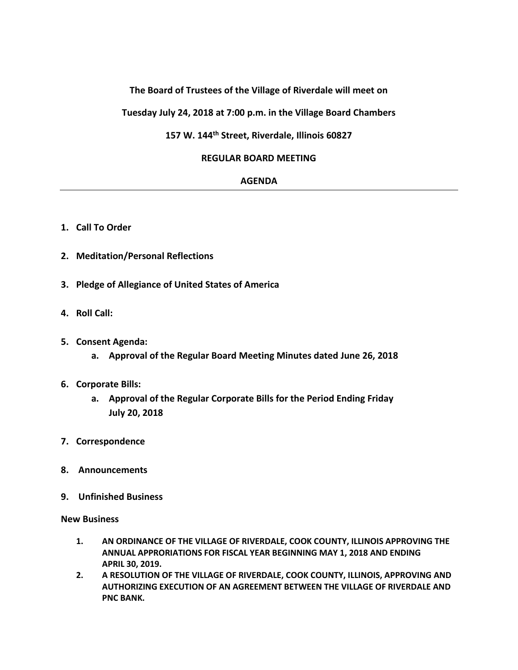# **The Board of Trustees of the Village of Riverdale will meet on**

**Tuesday July 24, 2018 at 7:00 p.m. in the Village Board Chambers**

### **157 W. 144th Street, Riverdale, Illinois 60827**

### **REGULAR BOARD MEETING**

#### **AGENDA**

- **1. Call To Order**
- **2. Meditation/Personal Reflections**
- **3. Pledge of Allegiance of United States of America**
- **4. Roll Call:**
- **5. Consent Agenda:**
	- **a. Approval of the Regular Board Meeting Minutes dated June 26, 2018**
- **6. Corporate Bills:**
	- **a. Approval of the Regular Corporate Bills for the Period Ending Friday July 20, 2018**
- **7. Correspondence**
- **8. Announcements**
- **9. Unfinished Business**

**New Business**

- **1. AN ORDINANCE OF THE VILLAGE OF RIVERDALE, COOK COUNTY, ILLINOIS APPROVING THE ANNUAL APPRORIATIONS FOR FISCAL YEAR BEGINNING MAY 1, 2018 AND ENDING APRIL 30, 2019.**
- **2. A RESOLUTION OF THE VILLAGE OF RIVERDALE, COOK COUNTY, ILLINOIS, APPROVING AND AUTHORIZING EXECUTION OF AN AGREEMENT BETWEEN THE VILLAGE OF RIVERDALE AND PNC BANK.**